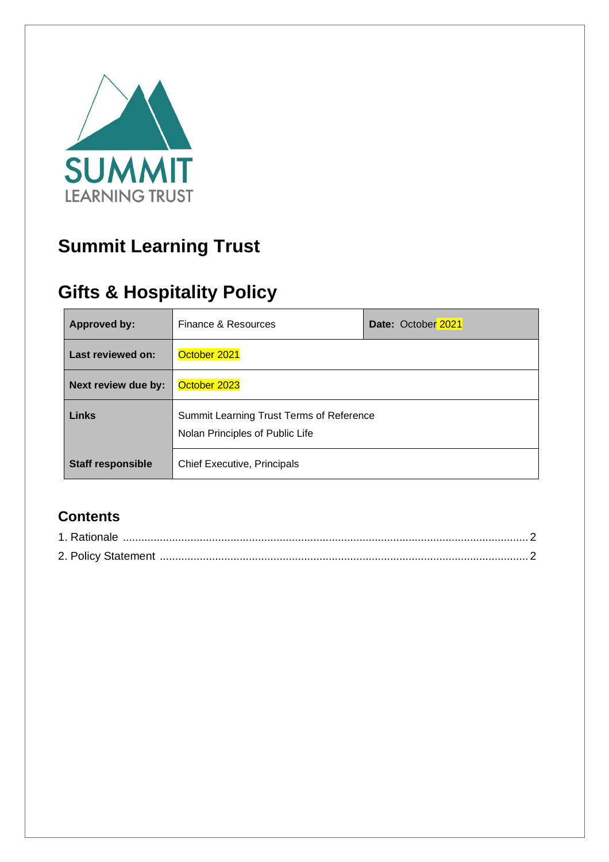

# **Summit Learning Trust**

# **Gifts & Hospitality Policy**

| <b>Approved by:</b>      | Finance & Resources                                                         | Date: October 2021 |
|--------------------------|-----------------------------------------------------------------------------|--------------------|
| Last reviewed on:        | October 2021                                                                |                    |
| Next review due by:      | October 2023                                                                |                    |
| <b>Links</b>             | Summit Learning Trust Terms of Reference<br>Nolan Principles of Public Life |                    |
| <b>Staff responsible</b> | <b>Chief Executive, Principals</b>                                          |                    |

## **Contents**

| 1. Rationale |  |
|--------------|--|
|              |  |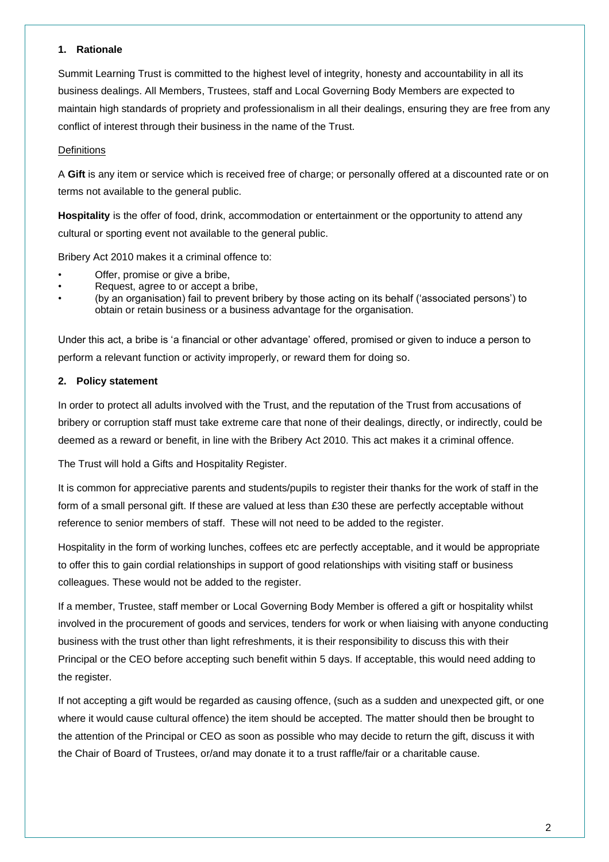#### **1. Rationale**

Summit Learning Trust is committed to the highest level of integrity, honesty and accountability in all its business dealings. All Members, Trustees, staff and Local Governing Body Members are expected to maintain high standards of propriety and professionalism in all their dealings, ensuring they are free from any conflict of interest through their business in the name of the Trust.

### **Definitions**

A **Gift** is any item or service which is received free of charge; or personally offered at a discounted rate or on terms not available to the general public.

**Hospitality** is the offer of food, drink, accommodation or entertainment or the opportunity to attend any cultural or sporting event not available to the general public.

Bribery Act 2010 makes it a criminal offence to:

- Offer, promise or give a bribe,
- Request, agree to or accept a bribe,
- (by an organisation) fail to prevent bribery by those acting on its behalf ('associated persons') to obtain or retain business or a business advantage for the organisation.

Under this act, a bribe is 'a financial or other advantage' offered, promised or given to induce a person to perform a relevant function or activity improperly, or reward them for doing so.

#### **2. Policy statement**

In order to protect all adults involved with the Trust, and the reputation of the Trust from accusations of bribery or corruption staff must take extreme care that none of their dealings, directly, or indirectly, could be deemed as a reward or benefit, in line with the Bribery Act 2010. This act makes it a criminal offence.

The Trust will hold a Gifts and Hospitality Register.

It is common for appreciative parents and students/pupils to register their thanks for the work of staff in the form of a small personal gift. If these are valued at less than £30 these are perfectly acceptable without reference to senior members of staff. These will not need to be added to the register.

Hospitality in the form of working lunches, coffees etc are perfectly acceptable, and it would be appropriate to offer this to gain cordial relationships in support of good relationships with visiting staff or business colleagues. These would not be added to the register.

If a member, Trustee, staff member or Local Governing Body Member is offered a gift or hospitality whilst involved in the procurement of goods and services, tenders for work or when liaising with anyone conducting business with the trust other than light refreshments, it is their responsibility to discuss this with their Principal or the CEO before accepting such benefit within 5 days. If acceptable, this would need adding to the register.

If not accepting a gift would be regarded as causing offence, (such as a sudden and unexpected gift, or one where it would cause cultural offence) the item should be accepted. The matter should then be brought to the attention of the Principal or CEO as soon as possible who may decide to return the gift, discuss it with the Chair of Board of Trustees, or/and may donate it to a trust raffle/fair or a charitable cause.